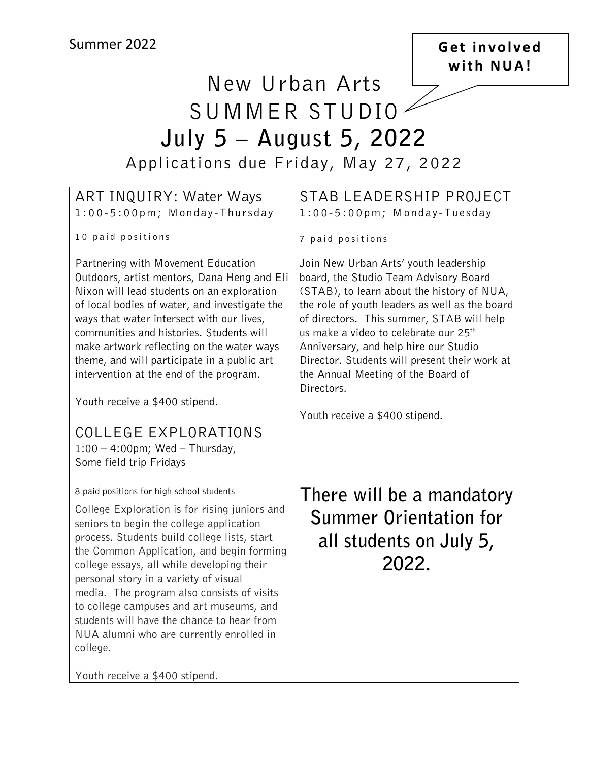### **Get involved with NUA!**

# New Urban Arts SUMMER STUDIO **July 5 – August 5, 2022** Applications due Friday, May 27, 2022

| <u> ART INQUIRY: Water Ways</u>               | <u>STAB LEADERSHIP PROJECT</u>                    |
|-----------------------------------------------|---------------------------------------------------|
| 1:00-5:00pm; Monday-Thursday                  | 1:00-5:00pm; Monday-Tuesday                       |
|                                               |                                                   |
| 10 paid positions                             | 7 paid positions                                  |
|                                               |                                                   |
| Partnering with Movement Education            | Join New Urban Arts' youth leadership             |
| Outdoors, artist mentors, Dana Heng and Eli   | board, the Studio Team Advisory Board             |
| Nixon will lead students on an exploration    | (STAB), to learn about the history of NUA,        |
| of local bodies of water, and investigate the | the role of youth leaders as well as the board    |
| ways that water intersect with our lives,     | of directors. This summer, STAB will help         |
| communities and histories. Students will      | us make a video to celebrate our 25 <sup>th</sup> |
| make artwork reflecting on the water ways     | Anniversary, and help hire our Studio             |
| theme, and will participate in a public art   | Director. Students will present their work at     |
| intervention at the end of the program.       | the Annual Meeting of the Board of                |
|                                               | Directors.                                        |
|                                               |                                                   |
| Youth receive a \$400 stipend.                |                                                   |
|                                               | Youth receive a \$400 stipend.                    |
| <u>COLLEGE EXPLORATIONS</u>                   |                                                   |
| $1:00 - 4:00$ pm; Wed - Thursday,             |                                                   |
| Some field trip Fridays                       |                                                   |
|                                               |                                                   |
| 8 paid positions for high school students     | There will be a mandatory                         |
| College Exploration is for rising juniors and |                                                   |
| seniors to begin the college application      | <b>Summer Orientation for</b>                     |
| process. Students build college lists, start  |                                                   |
| the Common Application, and begin forming     | all students on July 5,                           |
| college essays, all while developing their    | 2022.                                             |
| personal story in a variety of visual         |                                                   |
| media. The program also consists of visits    |                                                   |
| to college campuses and art museums, and      |                                                   |
| students will have the chance to hear from    |                                                   |
|                                               |                                                   |
| NUA alumni who are currently enrolled in      |                                                   |
| college.                                      |                                                   |
|                                               |                                                   |
| Youth receive a \$400 stipend.                |                                                   |